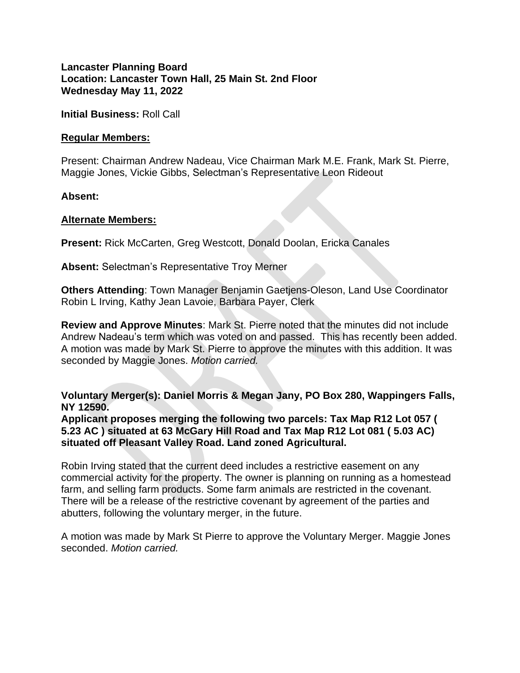**Lancaster Planning Board Location: Lancaster Town Hall, 25 Main St. 2nd Floor Wednesday May 11, 2022**

**Initial Business:** Roll Call

## **Regular Members:**

Present: Chairman Andrew Nadeau, Vice Chairman Mark M.E. Frank, Mark St. Pierre, Maggie Jones, Vickie Gibbs, Selectman's Representative Leon Rideout

**Absent:**

## **Alternate Members:**

**Present:** Rick McCarten, Greg Westcott, Donald Doolan, Ericka Canales

**Absent:** Selectman's Representative Troy Merner

**Others Attending**: Town Manager Benjamin Gaetjens-Oleson, Land Use Coordinator Robin L Irving, Kathy Jean Lavoie, Barbara Payer, Clerk

**Review and Approve Minutes**: Mark St. Pierre noted that the minutes did not include Andrew Nadeau's term which was voted on and passed. This has recently been added. A motion was made by Mark St. Pierre to approve the minutes with this addition. It was seconded by Maggie Jones. *Motion carried.*

**Voluntary Merger(s): Daniel Morris & Megan Jany, PO Box 280, Wappingers Falls, NY 12590.**

**Applicant proposes merging the following two parcels: Tax Map R12 Lot 057 ( 5.23 AC ) situated at 63 McGary Hill Road and Tax Map R12 Lot 081 ( 5.03 AC) situated off Pleasant Valley Road. Land zoned Agricultural.**

Robin Irving stated that the current deed includes a restrictive easement on any commercial activity for the property. The owner is planning on running as a homestead farm, and selling farm products. Some farm animals are restricted in the covenant. There will be a release of the restrictive covenant by agreement of the parties and abutters, following the voluntary merger, in the future.

A motion was made by Mark St Pierre to approve the Voluntary Merger. Maggie Jones seconded. *Motion carried.*